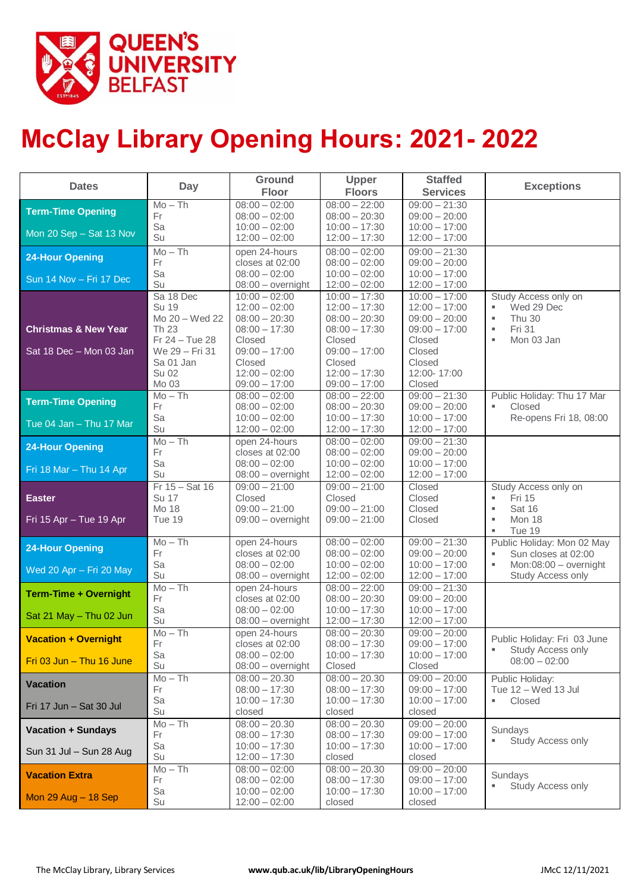

# **McClay Library Opening Hours: 2021- 2022**

| <b>Dates</b>                    | Day                     | Ground<br>Floor                        | <b>Upper</b><br><b>Floors</b>      | <b>Staffed</b><br><b>Services</b>  | <b>Exceptions</b>                                     |
|---------------------------------|-------------------------|----------------------------------------|------------------------------------|------------------------------------|-------------------------------------------------------|
| <b>Term-Time Opening</b>        | $Mo - Th$               | $08:00 - 02:00$                        | $08:00 - 22:00$                    | $09:00 - 21:30$                    |                                                       |
|                                 | Fr                      | $08:00 - 02:00$                        | $08:00 - 20:30$                    | $09:00 - 20:00$                    |                                                       |
| Mon 20 Sep - Sat 13 Nov         | Sa<br>Su                | $10:00 - 02:00$<br>$12:00 - 02:00$     | $10:00 - 17:30$<br>$12:00 - 17:30$ | $10:00 - 17:00$<br>$12:00 - 17:00$ |                                                       |
| <b>24-Hour Opening</b>          | $Mo - Th$               | open 24-hours                          | $08:00 - 02:00$                    | $09:00 - 21:30$                    |                                                       |
|                                 | Fr                      | closes at 02:00                        | $08:00 - 02:00$                    | $09:00 - 20:00$                    |                                                       |
| Sun 14 Nov - Fri 17 Dec         | Sa<br>Su                | $08:00 - 02:00$<br>$08:00 - overnight$ | $10:00 - 02:00$<br>$12:00 - 02:00$ | $10:00 - 17:00$<br>$12:00 - 17:00$ |                                                       |
|                                 | Sa 18 Dec               | $10:00 - 02:00$                        | $10:00 - 17:30$                    | $10:00 - 17:00$                    | Study Access only on                                  |
|                                 | <b>Su 19</b>            | $12:00 - 02:00$                        | $12:00 - 17:30$                    | $12:00 - 17:00$                    | Wed 29 Dec                                            |
|                                 | Mo 20 - Wed 22          | $08:00 - 20:30$                        | $08:00 - 20:30$                    | $09:00 - 20:00$                    | <b>Thu 30</b><br>٠                                    |
| <b>Christmas &amp; New Year</b> | Th 23<br>Fr 24 - Tue 28 | $08:00 - 17:30$<br>Closed              | $08:00 - 17:30$<br>Closed          | $09:00 - 17:00$<br>Closed          | Fri 31<br>$\mathbf{u}$<br>Mon 03 Jan<br>$\mathbf{u}$  |
| Sat 18 Dec - Mon 03 Jan         | We 29 - Fri 31          | $09:00 - 17:00$                        | $09:00 - 17:00$                    | Closed                             |                                                       |
|                                 | Sa 01 Jan               | Closed                                 | Closed                             | Closed                             |                                                       |
|                                 | <b>Su 02</b>            | $12:00 - 02:00$                        | $12:00 - 17:30$                    | 12:00-17:00                        |                                                       |
|                                 | Mo 03                   | $09:00 - 17:00$                        | $09:00 - 17:00$                    | Closed                             |                                                       |
| <b>Term-Time Opening</b>        | $Mo - Th$<br>Fr         | $08:00 - 02:00$<br>$08:00 - 02:00$     | $08:00 - 22:00$<br>$08:00 - 20:30$ | $09:00 - 21:30$<br>$09:00 - 20:00$ | Public Holiday: Thu 17 Mar<br>Closed                  |
|                                 | Sa                      | $10:00 - 02:00$                        | $10:00 - 17:30$                    | $10:00 - 17:00$                    | Re-opens Fri 18, 08:00                                |
| Tue 04 Jan - Thu 17 Mar         | Su                      | $12:00 - 02:00$                        | $12:00 - 17:30$                    | $12:00 - 17:00$                    |                                                       |
| <b>24-Hour Opening</b>          | $Mo - Th$               | open 24-hours                          | $08:00 - 02:00$                    | $09:00 - 21:30$                    |                                                       |
|                                 | Fr                      | closes at 02:00                        | $08:00 - 02:00$                    | $09:00 - 20:00$                    |                                                       |
| Fri 18 Mar - Thu 14 Apr         | Sa<br>Su                | $08:00 - 02:00$<br>$08:00 - overnight$ | $10:00 - 02:00$<br>$12:00 - 02:00$ | $10:00 - 17:00$<br>$12:00 - 17:00$ |                                                       |
|                                 | $Fr$ 15 - Sat 16        | $09:00 - 21:00$                        | $\overline{09:00} - 21:00$         | Closed                             | Study Access only on                                  |
| <b>Easter</b>                   | <b>Su 17</b>            | Closed                                 | Closed                             | Closed                             | Fri 15<br>٠                                           |
|                                 | Mo 18                   | $09:00 - 21:00$                        | $09:00 - 21:00$                    | Closed                             | Sat 16<br>×,                                          |
| Fri 15 Apr - Tue 19 Apr         | Tue 19                  | 09:00 - overnight                      | $09:00 - 21:00$                    | Closed                             | $\mathbf{u}$<br>Mon 18                                |
|                                 | $Mo - Th$               | open 24-hours                          | $08:00 - 02:00$                    | $09:00 - 21:30$                    | Tue 19<br>$\mathbf{u}$<br>Public Holiday: Mon 02 May  |
| <b>24-Hour Opening</b>          | Fr                      | closes at 02:00                        | $08:00 - 02:00$                    | $09:00 - 20:00$                    | Sun closes at 02:00                                   |
|                                 | Sa                      | $08:00 - 02:00$                        | $10:00 - 02:00$                    | $10:00 - 17:00$                    | Mon:08:00 - overnight                                 |
| Wed 20 Apr - Fri 20 May         | Su                      | $08:00 - overnight$                    | $12:00 - 02:00$                    | $12:00 - 17:00$                    | Study Access only                                     |
| <b>Term-Time + Overnight</b>    | $Mo - Th$               | open 24-hours                          | $08:00 - 22:00$                    | $09:00 - 21:30$                    |                                                       |
|                                 | Fr<br>Sa                | closes at 02:00<br>$08:00 - 02:00$     | $08:00 - 20:30$<br>$10:00 - 17:30$ | $09:00 - 20:00$<br>$10:00 - 17:00$ |                                                       |
| Sat 21 May - Thu 02 Jun         | Su                      | $08:00 - overnight$                    | $12:00 - 17:30$                    | $12:00 - 17:00$                    |                                                       |
|                                 | $Mo - Th$               | open 24-hours                          | $08:00 - 20:30$                    | $09:00 - 20:00$                    |                                                       |
| <b>Vacation + Overnight</b>     | Fr                      | closes at 02:00                        | $08:00 - 17:30$                    | $09:00 - 17:00$                    | Public Holiday: Fri 03 June<br>٠<br>Study Access only |
| Fri $03$ Jun $-$ Thu 16 June    | Sa<br>Su                | $08:00 - 02:00$                        | $10:00 - 17:30$<br>Closed          | $10:00 - 17:00$<br>Closed          | $08:00 - 02:00$                                       |
|                                 | $Mo - Th$               | $08:00 - overnight$<br>$08:00 - 20.30$ | $08:00 - 20.30$                    | $09:00 - 20:00$                    | Public Holiday:                                       |
| <b>Vacation</b>                 | Fr                      | $08:00 - 17:30$                        | $08:00 - 17:30$                    | $09:00 - 17:00$                    | Tue 12 - Wed 13 Jul                                   |
| Fri 17 Jun - Sat 30 Jul         | Sa                      | $10:00 - 17:30$                        | $10:00 - 17:30$                    | $10:00 - 17:00$                    | Closed<br>٠                                           |
|                                 | Su                      | closed                                 | closed                             | closed                             |                                                       |
| <b>Vacation + Sundays</b>       | $Mo - Th$               | $08:00 - 20.30$                        | $08:00 - 20.30$                    | $09:00 - 20:00$                    | Sundays                                               |
|                                 | Fr<br>Sa                | $08:00 - 17:30$<br>$10:00 - 17:30$     | $08:00 - 17:30$<br>$10:00 - 17:30$ | $09:00 - 17:00$<br>$10:00 - 17:00$ | Study Access only<br>×,                               |
| Sun 31 Jul - Sun 28 Aug         | Su                      | $12:00 - 17:30$                        | closed                             | closed                             |                                                       |
| <b>Vacation Extra</b>           | $Mo - Th$               | $08:00 - 02:00$                        | $08:00 - 20.30$                    | $09:00 - 20:00$                    |                                                       |
|                                 | Fr                      | $08:00 - 02:00$                        | $08:00 - 17:30$                    | $09:00 - 17:00$                    | Sundays<br>Study Access only                          |
| Mon $29$ Aug $-$ 18 Sep         | Sa                      | $10:00 - 02:00$                        | $10:00 - 17:30$                    | $10:00 - 17:00$                    |                                                       |
|                                 | Su                      | $12:00 - 02:00$                        | closed                             | closed                             |                                                       |